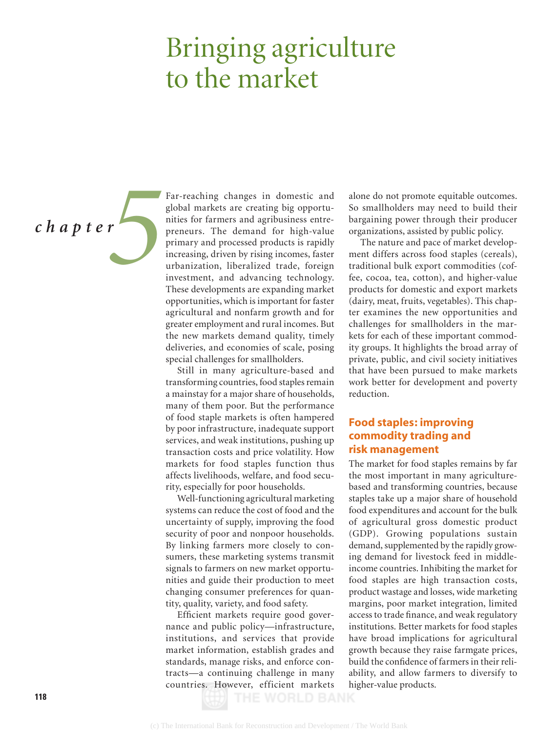# Bringing agriculture to the market

*chapter*

*5*

Far-reaching changes in domestic and global markets are creating big opportunities for farmers and agribusiness entrepreneurs. The demand for high-value primary and processed products is rapidly increasing, driven by rising incomes, faster urbanization, liberalized trade, foreign investment, and advancing technology. These developments are expanding market opportunities, which is important for faster agricultural and nonfarm growth and for greater employment and rural incomes. But the new markets demand quality, timely deliveries, and economies of scale, posing special challenges for smallholders.

Still in many agriculture-based and transforming countries, food staples remain a mainstay for a major share of households, many of them poor. But the performance of food staple markets is often hampered by poor infrastructure, inadequate support services, and weak institutions, pushing up transaction costs and price volatility. How markets for food staples function thus affects livelihoods, welfare, and food security, especially for poor households.

Well-functioning agricultural marketing systems can reduce the cost of food and the uncertainty of supply, improving the food security of poor and nonpoor households. By linking farmers more closely to consumers, these marketing systems transmit signals to farmers on new market opportunities and guide their production to meet changing consumer preferences for quantity, quality, variety, and food safety.

Efficient markets require good governance and public policy—infrastructure, institutions, and services that provide market information, establish grades and standards, manage risks, and enforce contracts—a continuing challenge in many countries. However, efficient markets

alone do not promote equitable outcomes. So smallholders may need to build their bargaining power through their producer organizations, assisted by public policy.

The nature and pace of market development differs across food staples (cereals), traditional bulk export commodities (coffee, cocoa, tea, cotton), and higher-value products for domestic and export markets (dairy, meat, fruits, vegetables). This chapter examines the new opportunities and challenges for smallholders in the markets for each of these important commodity groups. It highlights the broad array of private, public, and civil society initiatives that have been pursued to make markets work better for development and poverty reduction.

## **Food staples: improving commodity trading and risk management**

The market for food staples remains by far the most important in many agriculturebased and transforming countries, because staples take up a major share of household food expenditures and account for the bulk of agricultural gross domestic product (GDP). Growing populations sustain demand, supplemented by the rapidly growing demand for livestock feed in middleincome countries. Inhibiting the market for food staples are high transaction costs, product wastage and losses, wide marketing margins, poor market integration, limited access to trade finance, and weak regulatory institutions. Better markets for food staples have broad implications for agricultural growth because they raise farmgate prices, build the confidence of farmers in their reliability, and allow farmers to diversify to higher-value products.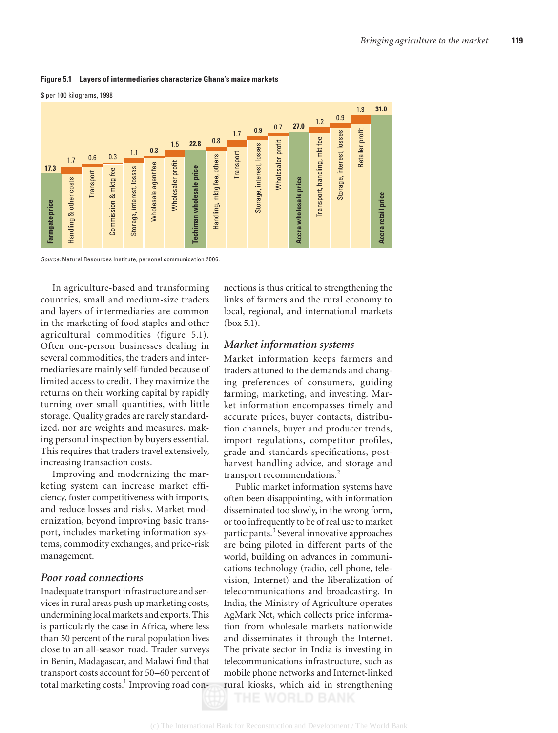

#### **Figure 5.1 Layers of intermediaries characterize Ghana's maize markets**

\$ per 100 kilograms, 1998

Source: Natural Resources Institute, personal communication 2006.

In agriculture-based and transforming countries, small and medium-size traders and layers of intermediaries are common in the marketing of food staples and other agricultural commodities (figure 5.1). Often one-person businesses dealing in several commodities, the traders and intermediaries are mainly self-funded because of limited access to credit. They maximize the returns on their working capital by rapidly turning over small quantities, with little storage. Quality grades are rarely standardized, nor are weights and measures, making personal inspection by buyers essential. This requires that traders travel extensively, increasing transaction costs.

Improving and modernizing the marketing system can increase market efficiency, foster competitiveness with imports, and reduce losses and risks. Market modernization, beyond improving basic transport, includes marketing information systems, commodity exchanges, and price-risk management.

## *Poor road connections*

Inadequate transport infrastructure and services in rural areas push up marketing costs, undermining local markets and exports. This is particularly the case in Africa, where less than 50 percent of the rural population lives close to an all-season road. Trader surveys in Benin, Madagascar, and Malawi find that transport costs account for 50–60 percent of total marketing costs.<sup>1</sup> Improving road connections is thus critical to strengthening the links of farmers and the rural economy to local, regional, and international markets (box 5.1).

#### *Market information systems*

Market information keeps farmers and traders attuned to the demands and changing preferences of consumers, guiding farming, marketing, and investing. Market information encompasses timely and accurate prices, buyer contacts, distribution channels, buyer and producer trends, import regulations, competitor profiles, grade and standards specifications, postharvest handling advice, and storage and transport recommendations.<sup>2</sup>

Public market information systems have often been disappointing, with information disseminated too slowly, in the wrong form, or too infrequently to be of real use to market participants.<sup>3</sup> Several innovative approaches are being piloted in different parts of the world, building on advances in communications technology (radio, cell phone, television, Internet) and the liberalization of telecommunications and broadcasting. In India, the Ministry of Agriculture operates AgMark Net, which collects price information from wholesale markets nationwide and disseminates it through the Internet. The private sector in India is investing in telecommunications infrastructure, such as mobile phone networks and Internet-linked rural control and interest in the strengthening the storage of the strengthening the links of farmers and the rural conomy to look, regional, and international markets as a storage, in the links of farmers and the rural co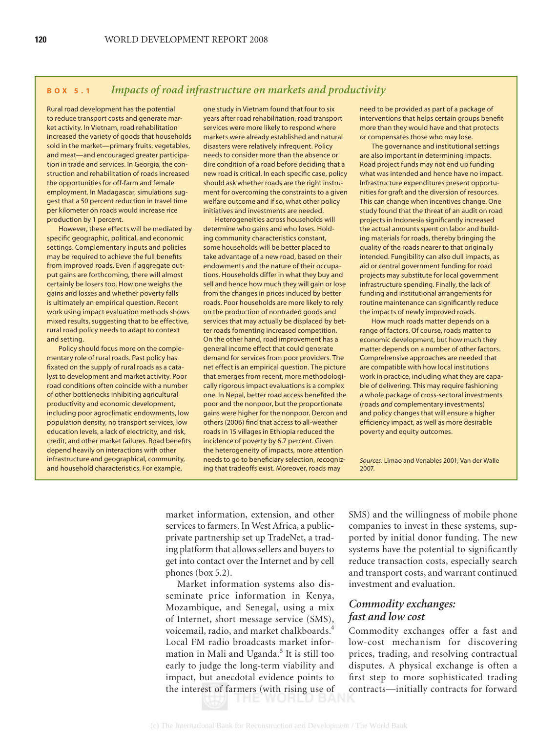## **BOX 5.1** *Impacts of road infrastructure on markets and productivity*

Rural road development has the potential to reduce transport costs and generate market activity. In Vietnam, road rehabilitation increased the variety of goods that households sold in the market—primary fruits, vegetables, and meat—and encouraged greater participation in trade and services. In Georgia, the construction and rehabilitation of roads increased the opportunities for off-farm and female employment. In Madagascar, simulations suggest that a 50 percent reduction in travel time per kilometer on roads would increase rice production by 1 percent.

However, these effects will be mediated by specific geographic, political, and economic settings. Complementary inputs and policies may be required to achieve the full benefits from improved roads. Even if aggregate output gains are forthcoming, there will almost certainly be losers too. How one weighs the gains and losses and whether poverty falls is ultimately an empirical question. Recent work using impact evaluation methods shows mixed results, suggesting that to be effective, rural road policy needs to adapt to context and setting.

Policy should focus more on the complementary role of rural roads. Past policy has fixated on the supply of rural roads as a catalyst to development and market activity. Poor road conditions often coincide with a number of other bottlenecks inhibiting agricultural productivity and economic development, including poor agroclimatic endowments, low population density, no transport services, low education levels, a lack of electricity, and risk, credit, and other market failures. Road benefits depend heavily on interactions with other infrastructure and geographical, community, and household characteristics. For example,

one study in Vietnam found that four to six years after road rehabilitation, road transport services were more likely to respond where markets were already established and natural disasters were relatively infrequent. Policy needs to consider more than the absence or dire condition of a road before deciding that a new road is critical. In each specific case, policy should ask whether roads are the right instrument for overcoming the constraints to a given welfare outcome and if so, what other policy initiatives and investments are needed.

Heterogeneities across households will determine who gains and who loses. Holding community characteristics constant, some households will be better placed to take advantage of a new road, based on their endowments and the nature of their occupations. Households differ in what they buy and sell and hence how much they will gain or lose from the changes in prices induced by better roads. Poor households are more likely to rely on the production of nontraded goods and services that may actually be displaced by better roads fomenting increased competition. On the other hand, road improvement has a general income effect that could generate demand for services from poor providers. The net effect is an empirical question. The picture that emerges from recent, more methodologically rigorous impact evaluations is a complex one. In Nepal, better road access benefited the poor and the nonpoor, but the proportionate gains were higher for the nonpoor. Dercon and others (2006) find that access to all-weather roads in 15 villages in Ethiopia reduced the incidence of poverty by 6.7 percent. Given the heterogeneity of impacts, more attention needs to go to beneficiary selection, recognizing that tradeoffs exist. Moreover, roads may

need to be provided as part of a package of interventions that helps certain groups benefit more than they would have and that protects or compensates those who may lose.

The governance and institutional settings are also important in determining impacts. Road project funds may not end up funding what was intended and hence have no impact. Infrastructure expenditures present opportunities for graft and the diversion of resources. This can change when incentives change. One study found that the threat of an audit on road projects in Indonesia significantly increased the actual amounts spent on labor and building materials for roads, thereby bringing the quality of the roads nearer to that originally intended. Fungibility can also dull impacts, as aid or central government funding for road projects may substitute for local government infrastructure spending. Finally, the lack of funding and institutional arrangements for routine maintenance can significantly reduce the impacts of newly improved roads.

How much roads matter depends on a range of factors. Of course, roads matter to economic development, but how much they matter depends on a number of other factors. Comprehensive approaches are needed that are compatible with how local institutions work in practice, including what they are capable of delivering. This may require fashioning a whole package of cross-sectoral investments (roads *and* complementary investments) and policy changes that will ensure a higher efficiency impact, as well as more desirable poverty and equity outcomes.

*Sources:* Limao and Venables 2001; Van der Walle 2007.

market information, extension, and other services to farmers. In West Africa, a publicprivate partnership set up TradeNet, a trading platform that allows sellers and buyers to get into contact over the Internet and by cell phones (box 5.2).

Market information systems also disseminate price information in Kenya, Mozambique, and Senegal, using a mix of Internet, short message service (SMS), voicemail, radio, and market chalkboards.4 Local FM radio broadcasts market information in Mali and Uganda.<sup>5</sup> It is still too early to judge the long-term viability and impact, but anecdotal evidence points to the interest of farmers (with rising use of

SMS) and the willingness of mobile phone companies to invest in these systems, supported by initial donor funding. The new systems have the potential to significantly reduce transaction costs, especially search and transport costs, and warrant continued investment and evaluation.

## *Commodity exchanges: fast and low cost*

Commodity exchanges offer a fast and low-cost mechanism for discovering prices, trading, and resolving contractual disputes. A physical exchange is often a first step to more sophisticated trading contracts—initially contracts for forward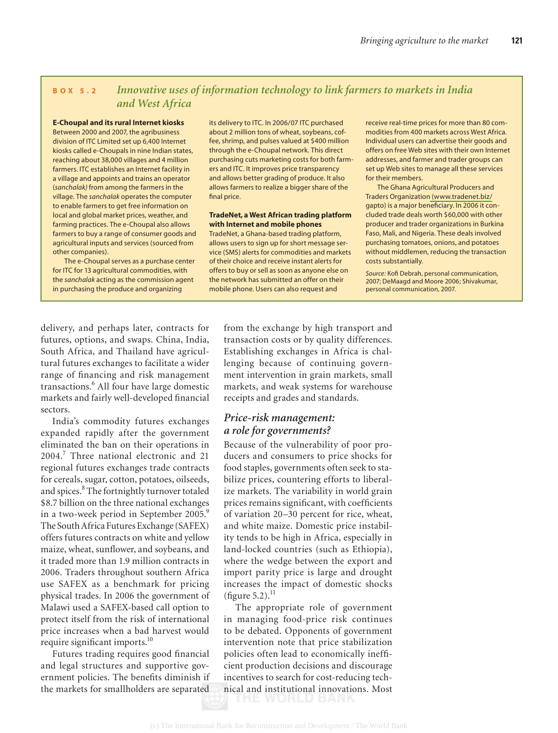# **BOX 5.2** *Innovative uses of information technology to link farmers to markets in India and West Africa*

#### **E-Choupal and its rural Internet kiosks**

Between 2000 and 2007, the agribusiness division of ITC Limited set up 6,400 Internet kiosks called e-Choupals in nine Indian states, reaching about 38,000 villages and 4 million farmers. ITC establishes an Internet facility in a village and appoints and trains an operator (*sanchalak)* from among the farmers in the village. The *sanchalak* operates the computer to enable farmers to get free information on local and global market prices, weather, and farming practices. The e-Choupal also allows farmers to buy a range of consumer goods and agricultural inputs and services (sourced from other companies).

The e-Choupal serves as a purchase center for ITC for 13 agricultural commodities, with the *sanchalak* acting as the commission agent in purchasing the produce and organizing

its delivery to ITC. In 2006/07 ITC purchased about 2 million tons of wheat, soybeans, coffee, shrimp, and pulses valued at \$400 million through the e-Choupal network. This direct purchasing cuts marketing costs for both farmers and ITC. It improves price transparency and allows better grading of produce. It also allows farmers to realize a bigger share of the final price.

#### **TradeNet, a West African trading platform with Internet and mobile phones**

TradeNet, a Ghana-based trading platform, allows users to sign up for short message service (SMS) alerts for commodities and markets of their choice and receive instant alerts for offers to buy or sell as soon as anyone else on the network has submitted an offer on their mobile phone. Users can also request and

receive real-time prices for more than 80 commodities from 400 markets across West Africa. Individual users can advertise their goods and offers on free Web sites with their own Internet addresses, and farmer and trader groups can set up Web sites to manage all these services for their members.

The Ghana Agricultural Producers and Traders Organizatio[n \(www.tradenet.biz/](http://www.tradenet.biz/) gapto) is a major beneficiary. In 2006 it concluded trade deals worth \$60,000 with other producer and trader organizations in Burkina Faso, Mali, and Nigeria. These deals involved purchasing tomatoes, onions, and potatoes without middlemen, reducing the transaction costs substantially.

*Source:* Kofi Debrah, personal communication, 2007; DeMaagd and Moore 2006; Shivakumar, personal communication, 2007.

delivery, and perhaps later, contracts for futures, options, and swaps. China, India, South Africa, and Thailand have agricultural futures exchanges to facilitate a wider range of financing and risk management transactions.<sup>6</sup> All four have large domestic markets and fairly well-developed financial sectors.

India's commodity futures exchanges expanded rapidly after the government eliminated the ban on their operations in 2004.<sup>7</sup> Three national electronic and 21 regional futures exchanges trade contracts for cereals, sugar, cotton, potatoes, oilseeds, and spices.<sup>8</sup> The fortnightly turnover totaled \$8.7 billion on the three national exchanges in a two-week period in September 2005.<sup>9</sup> The South Africa Futures Exchange (SAFEX) offers futures contracts on white and yellow maize, wheat, sunflower, and soybeans, and it traded more than 1.9 million contracts in 2006. Traders throughout southern Africa use SAFEX as a benchmark for pricing physical trades. In 2006 the government of Malawi used a SAFEX-based call option to protect itself from the risk of international price increases when a bad harvest would require significant imports.<sup>10</sup>

Futures trading requires good financial and legal structures and supportive government policies. The benefits diminish if the markets for smallholders are separated

from the exchange by high transport and transaction costs or by quality differences. Establishing exchanges in Africa is challenging because of continuing government intervention in grain markets, small markets, and weak systems for warehouse receipts and grades and standards.

# *Price-risk management: a role for governments?*

Because of the vulnerability of poor producers and consumers to price shocks for food staples, governments often seek to stabilize prices, countering efforts to liberalize markets. The variability in world grain prices remains significant, with coefficients of variation 20–30 percent for rice, wheat, and white maize. Domestic price instability tends to be high in Africa, especially in land-locked countries (such as Ethiopia), where the wedge between the export and import parity price is large and drought increases the impact of domestic shocks (figure 5.2).<sup>11</sup>

The appropriate role of government in managing food-price risk continues to be debated. Opponents of government intervention note that price stabilization policies often lead to economically inefficient production decisions and discourage incentives to search for cost-reducing technical and institutional innovations. Most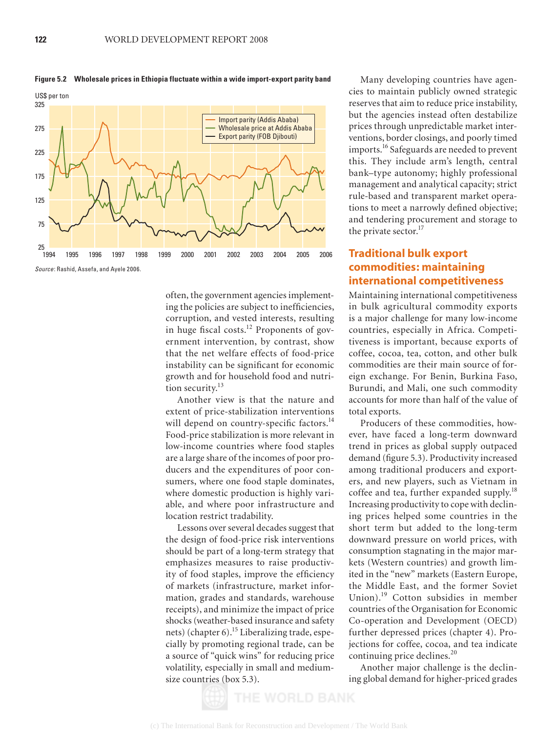

**Figure 5.2 Wholesale prices in Ethiopia fluctuate within a wide import-export parity band**

often, the government agencies implementing the policies are subject to inefficiencies, corruption, and vested interests, resulting in huge fiscal costs.<sup>12</sup> Proponents of government intervention, by contrast, show that the net welfare effects of food-price instability can be significant for economic growth and for household food and nutrition security.<sup>13</sup>

Another view is that the nature and extent of price-stabilization interventions will depend on country-specific factors.<sup>14</sup> Food-price stabilization is more relevant in low-income countries where food staples are a large share of the incomes of poor producers and the expenditures of poor consumers, where one food staple dominates, where domestic production is highly variable, and where poor infrastructure and location restrict tradability.

Lessons over several decades suggest that the design of food-price risk interventions should be part of a long-term strategy that emphasizes measures to raise productivity of food staples, improve the efficiency of markets (infrastructure, market information, grades and standards, warehouse receipts), and minimize the impact of price shocks (weather-based insurance and safety nets) (chapter 6).<sup>15</sup> Liberalizing trade, especially by promoting regional trade, can be a source of "quick wins" for reducing price volatility, especially in small and mediumsize countries (box 5.3).

Many developing countries have agencies to maintain publicly owned strategic reserves that aim to reduce price instability, but the agencies instead often destabilize prices through unpredictable market interventions, border closings, and poorly timed imports.<sup>16</sup> Safeguards are needed to prevent this. They include arm's length, central bank–type autonomy; highly professional management and analytical capacity; strict rule-based and transparent market operations to meet a narrowly defined objective; and tendering procurement and storage to the private sector.<sup>17</sup>

# **Traditional bulk export commodities: maintaining international competitiveness**

Maintaining international competitiveness in bulk agricultural commodity exports is a major challenge for many low-income countries, especially in Africa. Competitiveness is important, because exports of coffee, cocoa, tea, cotton, and other bulk commodities are their main source of foreign exchange. For Benin, Burkina Faso, Burundi, and Mali, one such commodity accounts for more than half of the value of total exports.

Producers of these commodities, however, have faced a long-term downward trend in prices as global supply outpaced demand (figure 5.3). Productivity increased among traditional producers and exporters, and new players, such as Vietnam in coffee and tea, further expanded supply.<sup>18</sup> Increasing productivity to cope with declining prices helped some countries in the short term but added to the long-term downward pressure on world prices, with consumption stagnating in the major markets (Western countries) and growth limited in the "new" markets (Eastern Europe, the Middle East, and the former Soviet Union).19 Cotton subsidies in member countries of the Organisation for Economic Co-operation and Development (OECD) further depressed prices (chapter 4). Projections for coffee, cocoa, and tea indicate continuing price declines.<sup>20</sup>

Another major challenge is the declining global demand for higher-priced grades

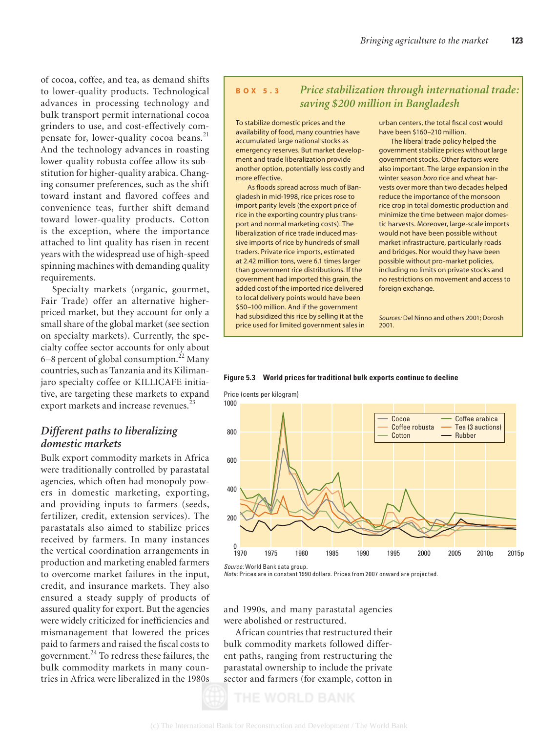of cocoa, coffee, and tea, as demand shifts to lower-quality products. Technological advances in processing technology and bulk transport permit international cocoa grinders to use, and cost-effectively compensate for, lower-quality cocoa beans. $^{21}$ And the technology advances in roasting lower-quality robusta coffee allow its substitution for higher-quality arabica. Changing consumer preferences, such as the shift toward instant and flavored coffees and convenience teas, further shift demand toward lower-quality products. Cotton is the exception, where the importance attached to lint quality has risen in recent years with the widespread use of high-speed spinning machines with demanding quality requirements.

Specialty markets (organic, gourmet, Fair Trade) offer an alternative higherpriced market, but they account for only a small share of the global market (see section on specialty markets). Currently, the specialty coffee sector accounts for only about 6–8 percent of global consumption.<sup>22</sup> Many countries, such as Tanzania and its Kilimanjaro specialty coffee or KILLICAFE initiative, are targeting these markets to expand export markets and increase revenues.<sup>23</sup>

## *Different paths to liberalizing domestic markets*

Bulk export commodity markets in Africa were traditionally controlled by parastatal agencies, which often had monopoly powers in domestic marketing, exporting, and providing inputs to farmers (seeds, fertilizer, credit, extension services). The parastatals also aimed to stabilize prices received by farmers. In many instances the vertical coordination arrangements in production and marketing enabled farmers to overcome market failures in the input, credit, and insurance markets. They also ensured a steady supply of products of assured quality for export. But the agencies were widely criticized for inefficiencies and mismanagement that lowered the prices paid to farmers and raised the fiscal costs to government.24 To redress these failures, the bulk commodity markets in many countries in Africa were liberalized in the 1980s

## **BOX 5.3** *Price stabilization through international trade: saving \$200 million in Bangladesh*

To stabilize domestic prices and the availability of food, many countries have accumulated large national stocks as emergency reserves. But market development and trade liberalization provide another option, potentially less costly and more effective.

As floods spread across much of Bangladesh in mid-1998, rice prices rose to import parity levels (the export price of rice in the exporting country plus transport and normal marketing costs). The liberalization of rice trade induced massive imports of rice by hundreds of small traders. Private rice imports, estimated at 2.42 million tons, were 6.1 times larger than government rice distributions. If the government had imported this grain, the added cost of the imported rice delivered to local delivery points would have been \$50–100 million. And if the government had subsidized this rice by selling it at the price used for limited government sales in urban centers, the total fiscal cost would have been \$160–210 million.

The liberal trade policy helped the government stabilize prices without large government stocks. Other factors were also important. The large expansion in the winter season *boro* rice and wheat harvests over more than two decades helped reduce the importance of the monsoon rice crop in total domestic production and minimize the time between major domestic harvests. Moreover, large-scale imports would not have been possible without market infrastructure, particularly roads and bridges. Nor would they have been possible without pro-market policies, including no limits on private stocks and no restrictions on movement and access to foreign exchange.

*Sources:* Del Ninno and others 2001; Dorosh 2001.

#### **Figure 5.3 World prices for traditional bulk exports continue to decline**

Price (cents per kilogram)



Source: World Bank data group.

Note: Prices are in constant 1990 dollars. Prices from 2007 onward are projected.

and 1990s, and many parastatal agencies were abolished or restructured.

African countries that restructured their bulk commodity markets followed different paths, ranging from restructuring the parastatal ownership to include the private sector and farmers (for example, cotton in

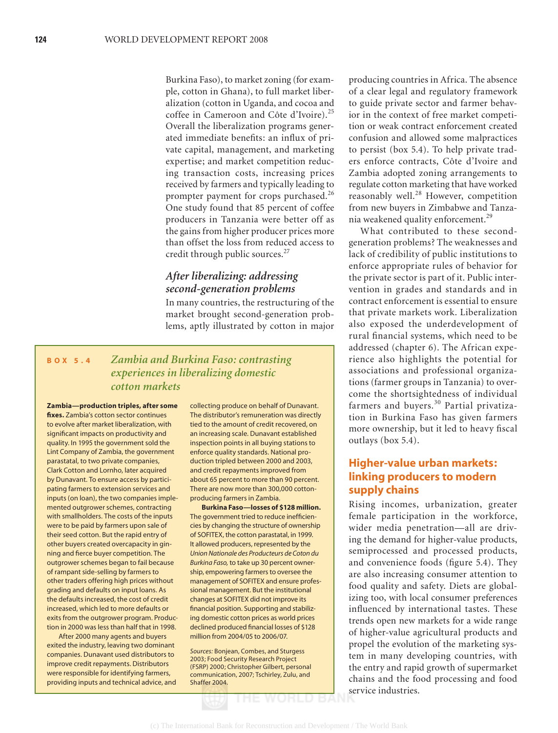Burkina Faso), to market zoning (for example, cotton in Ghana), to full market liberalization (cotton in Uganda, and cocoa and coffee in Cameroon and Côte d'Ivoire).<sup>25</sup> Overall the liberalization programs generated immediate benefits: an influx of private capital, management, and marketing expertise; and market competition reducing transaction costs, increasing prices received by farmers and typically leading to prompter payment for crops purchased.<sup>26</sup> One study found that 85 percent of coffee producers in Tanzania were better off as the gains from higher producer prices more than offset the loss from reduced access to credit through public sources.<sup>27</sup>

## *After liberalizing: addressing second-generation problems*

In many countries, the restructuring of the market brought second-generation problems, aptly illustrated by cotton in major

# **BOX 5.4** *Zambia and Burkina Faso: contrasting experiences in liberalizing domestic cotton markets*

**Zambia—production triples, after some**  fixes. Zambia's cotton sector continues to evolve after market liberalization, with significant impacts on productivity and quality. In 1995 the government sold the Lint Company of Zambia, the government parastatal, to two private companies, Clark Cotton and Lornho, later acquired by Dunavant. To ensure access by participating farmers to extension services and inputs (on loan), the two companies implemented outgrower schemes, contracting with smallholders. The costs of the inputs were to be paid by farmers upon sale of their seed cotton. But the rapid entry of other buyers created overcapacity in ginning and fierce buyer competition. The outgrower schemes began to fail because of rampant side-selling by farmers to other traders offering high prices without grading and defaults on input loans. As the defaults increased, the cost of credit increased, which led to more defaults or exits from the outgrower program. Production in 2000 was less than half that in 1998.

After 2000 many agents and buyers exited the industry, leaving two dominant companies. Dunavant used distributors to improve credit repayments. Distributors were responsible for identifying farmers, providing inputs and technical advice, and collecting produce on behalf of Dunavant. The distributor's remuneration was directly tied to the amount of credit recovered, on an increasing scale. Dunavant established inspection points in all buying stations to enforce quality standards. National production tripled between 2000 and 2003, and credit repayments improved from about 65 percent to more than 90 percent. There are now more than 300,000 cottonproducing farmers in Zambia.

**Burkina Faso—losses of \$128 million.**  The government tried to reduce inefficiencies by changing the structure of ownership of SOFITEX, the cotton parastatal, in 1999. It allowed producers, represented by the *Union Nationale des Producteurs de Coton du Burkina Faso,* to take up 30 percent ownership, empowering farmers to oversee the management of SOFITEX and ensure professional management. But the institutional changes at SOFITEX did not improve its financial position. Supporting and stabilizing domestic cotton prices as world prices declined produced financial losses of \$128 million from 2004/05 to 2006/07.

*Sources:* Bonjean, Combes, and Sturgess 2003; Food Security Research Project (FSRP) 2000; Christopher Gilbert, personal communication, 2007; Tschirley, Zulu, and Shaffer 2004.

producing countries in Africa. The absence of a clear legal and regulatory framework to guide private sector and farmer behavior in the context of free market competition or weak contract enforcement created confusion and allowed some malpractices to persist (box 5.4). To help private traders enforce contracts, Côte d'Ivoire and Zambia adopted zoning arrangements to regulate cotton marketing that have worked reasonably well.<sup>28</sup> However, competition from new buyers in Zimbabwe and Tanzania weakened quality enforcement.<sup>29</sup>

What contributed to these secondgeneration problems? The weaknesses and lack of credibility of public institutions to enforce appropriate rules of behavior for the private sector is part of it. Public intervention in grades and standards and in contract enforcement is essential to ensure that private markets work. Liberalization also exposed the underdevelopment of rural financial systems, which need to be addressed (chapter 6). The African experience also highlights the potential for associations and professional organizations (farmer groups in Tanzania) to overcome the shortsightedness of individual farmers and buyers.<sup>30</sup> Partial privatization in Burkina Faso has given farmers more ownership, but it led to heavy fiscal outlays (box 5.4).

## **Higher-value urban markets: linking producers to modern supply chains**

Rising incomes, urbanization, greater female participation in the workforce, wider media penetration—all are driving the demand for higher-value products, semiprocessed and processed products, and convenience foods (figure 5.4). They are also increasing consumer attention to food quality and safety. Diets are globalizing too, with local consumer preferences influenced by international tastes. These trends open new markets for a wide range of higher-value agricultural products and propel the evolution of the marketing system in many developing countries, with the entry and rapid growth of supermarket chains and the food processing and food service industries.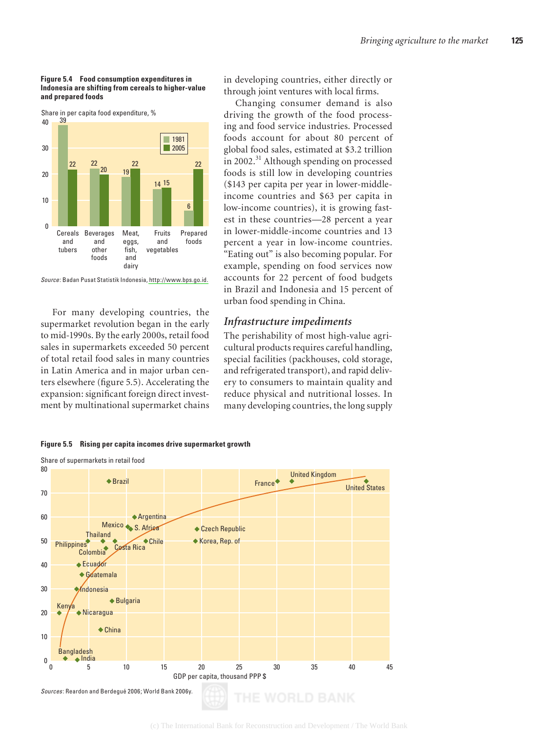#### **Figure 5.4 Food consumption expenditures in Indonesia are shifting from cereals to higher-value and prepared foods**



Source: Badan Pusat Statistik Indonesia, [http://www.bps.go.id.](http://www.bps.go.id)

For many developing countries, the supermarket revolution began in the early to mid-1990s. By the early 2000s, retail food sales in supermarkets exceeded 50 percent of total retail food sales in many countries in Latin America and in major urban centers elsewhere (figure 5.5). Accelerating the expansion: significant foreign direct investment by multinational supermarket chains in developing countries, either directly or through joint ventures with local firms.

Changing consumer demand is also driving the growth of the food processing and food service industries. Processed foods account for about 80 percent of global food sales, estimated at \$3.2 trillion in 2002.<sup>31</sup> Although spending on processed foods is still low in developing countries (\$143 per capita per year in lower-middleincome countries and \$63 per capita in low-income countries), it is growing fastest in these countries—28 percent a year in lower-middle-income countries and 13 percent a year in low-income countries. "Eating out" is also becoming popular. For example, spending on food services now accounts for 22 percent of food budgets in Brazil and Indonesia and 15 percent of urban food spending in China.

### *Infrastructure impediments*

The perishability of most high-value agricultural products requires careful handling, special facilities (packhouses, cold storage, and refrigerated transport), and rapid delivery to consumers to maintain quality and reduce physical and nutritional losses. In many developing countries, the long supply

**Figure 5.5 Rising per capita incomes drive supermarket growth**



(c) The International Bank for Reconstruction and Development / The World Bank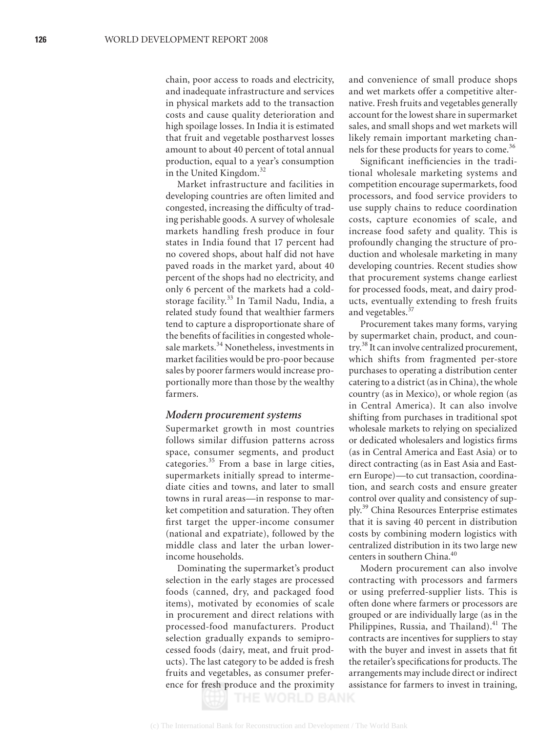chain, poor access to roads and electricity, and inadequate infrastructure and services in physical markets add to the transaction costs and cause quality deterioration and high spoilage losses. In India it is estimated that fruit and vegetable postharvest losses amount to about 40 percent of total annual production, equal to a year's consumption in the United Kingdom. $32$ 

Market infrastructure and facilities in developing countries are often limited and congested, increasing the difficulty of trading perishable goods. A survey of wholesale markets handling fresh produce in four states in India found that 17 percent had no covered shops, about half did not have paved roads in the market yard, about 40 percent of the shops had no electricity, and only 6 percent of the markets had a coldstorage facility.<sup>33</sup> In Tamil Nadu, India, a related study found that wealthier farmers tend to capture a disproportionate share of the benefits of facilities in congested wholesale markets.<sup>34</sup> Nonetheless, investments in market facilities would be pro-poor because sales by poorer farmers would increase proportionally more than those by the wealthy farmers.

#### *Modern procurement systems*

Supermarket growth in most countries follows similar diffusion patterns across space, consumer segments, and product categories.<sup>35</sup> From a base in large cities, supermarkets initially spread to intermediate cities and towns, and later to small towns in rural areas—in response to market competition and saturation. They often first target the upper-income consumer (national and expatriate), followed by the middle class and later the urban lowerincome households.

Dominating the supermarket's product selection in the early stages are processed foods (canned, dry, and packaged food items), motivated by economies of scale in procurement and direct relations with processed-food manufacturers. Product selection gradually expands to semiprocessed foods (dairy, meat, and fruit products). The last category to be added is fresh fruits and vegetables, as consumer preference for fresh produce and the proximity

and convenience of small produce shops and wet markets offer a competitive alternative. Fresh fruits and vegetables generally account for the lowest share in supermarket sales, and small shops and wet markets will likely remain important marketing channels for these products for years to come.<sup>36</sup>

Significant inefficiencies in the traditional wholesale marketing systems and competition encourage supermarkets, food processors, and food service providers to use supply chains to reduce coordination costs, capture economies of scale, and increase food safety and quality. This is profoundly changing the structure of production and wholesale marketing in many developing countries. Recent studies show that procurement systems change earliest for processed foods, meat, and dairy products, eventually extending to fresh fruits and vegetables.<sup>37</sup>

Procurement takes many forms, varying by supermarket chain, product, and country.<sup>38</sup> It can involve centralized procurement, which shifts from fragmented per-store purchases to operating a distribution center catering to a district (as in China), the whole country (as in Mexico), or whole region (as in Central America). It can also involve shifting from purchases in traditional spot wholesale markets to relying on specialized or dedicated wholesalers and logistics firms (as in Central America and East Asia) or to direct contracting (as in East Asia and Eastern Europe)—to cut transaction, coordination, and search costs and ensure greater control over quality and consistency of supply.39 China Resources Enterprise estimates that it is saving 40 percent in distribution costs by combining modern logistics with centralized distribution in its two large new centers in southern China.40

Modern procurement can also involve contracting with processors and farmers or using preferred-supplier lists. This is often done where farmers or processors are grouped or are individually large (as in the Philippines, Russia, and Thailand).<sup>41</sup> The contracts are incentives for suppliers to stay with the buyer and invest in assets that fit the retailer's specifications for products. The arrangements may include direct or indirect assistance for farmers to invest in training,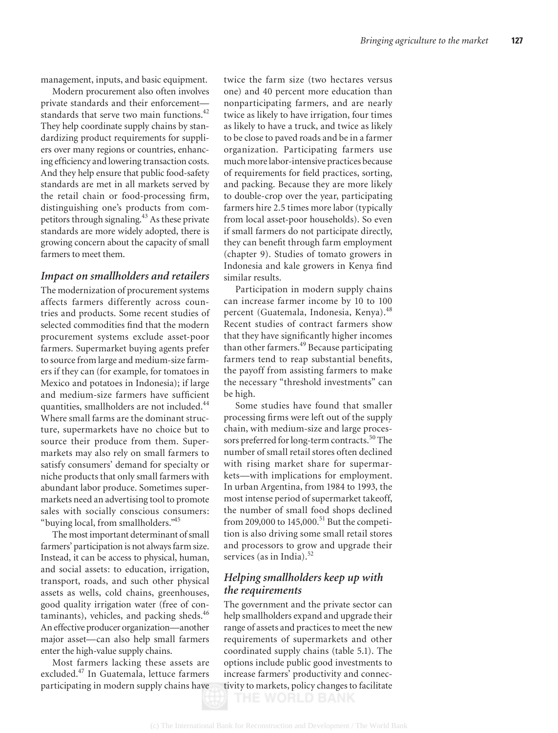management, inputs, and basic equipment.

Modern procurement also often involves private standards and their enforcement standards that serve two main functions.<sup>42</sup> They help coordinate supply chains by standardizing product requirements for suppliers over many regions or countries, enhancing efficiency and lowering transaction costs. And they help ensure that public food-safety standards are met in all markets served by the retail chain or food-processing firm, distinguishing one's products from competitors through signaling.<sup>43</sup> As these private standards are more widely adopted, there is growing concern about the capacity of small farmers to meet them.

### *Impact on smallholders and retailers*

The modernization of procurement systems affects farmers differently across countries and products. Some recent studies of selected commodities find that the modern procurement systems exclude asset-poor farmers. Supermarket buying agents prefer to source from large and medium-size farmers if they can (for example, for tomatoes in Mexico and potatoes in Indonesia); if large and medium-size farmers have sufficient quantities, smallholders are not included.<sup>44</sup> Where small farms are the dominant structure, supermarkets have no choice but to source their produce from them. Supermarkets may also rely on small farmers to satisfy consumers' demand for specialty or niche products that only small farmers with abundant labor produce. Sometimes supermarkets need an advertising tool to promote sales with socially conscious consumers: "buying local, from smallholders."45

The most important determinant of small farmers' participation is not always farm size. Instead, it can be access to physical, human, and social assets: to education, irrigation, transport, roads, and such other physical assets as wells, cold chains, greenhouses, good quality irrigation water (free of contaminants), vehicles, and packing sheds.<sup>46</sup> An effective producer organization—another major asset—can also help small farmers enter the high-value supply chains.

Most farmers lacking these assets are excluded.47 In Guatemala, lettuce farmers participating in modern supply chains have

twice the farm size (two hectares versus one) and 40 percent more education than nonparticipating farmers, and are nearly twice as likely to have irrigation, four times as likely to have a truck, and twice as likely to be close to paved roads and be in a farmer organization. Participating farmers use much more labor-intensive practices because of requirements for field practices, sorting, and packing. Because they are more likely to double-crop over the year, participating farmers hire 2.5 times more labor (typically from local asset-poor households). So even if small farmers do not participate directly, they can benefit through farm employment (chapter 9). Studies of tomato growers in Indonesia and kale growers in Kenya find similar results.

Participation in modern supply chains can increase farmer income by 10 to 100 percent (Guatemala, Indonesia, Kenya).<sup>48</sup> Recent studies of contract farmers show that they have significantly higher incomes than other farmers.<sup>49</sup> Because participating farmers tend to reap substantial benefits, the payoff from assisting farmers to make the necessary "threshold investments" can be high.

Some studies have found that smaller processing firms were left out of the supply chain, with medium-size and large processors preferred for long-term contracts.<sup>50</sup> The number of small retail stores often declined with rising market share for supermarkets—with implications for employment. In urban Argentina, from 1984 to 1993, the most intense period of supermarket takeoff, the number of small food shops declined from 209,000 to  $145,000$ .<sup>51</sup> But the competition is also driving some small retail stores and processors to grow and upgrade their services (as in India).<sup>52</sup>

# *Helping smallholders keep up with the requirements*

The government and the private sector can help smallholders expand and upgrade their range of assets and practices to meet the new requirements of supermarkets and other coordinated supply chains (table 5.1). The options include public good investments to increase farmers' productivity and connectivity to markets, policy changes to facilitate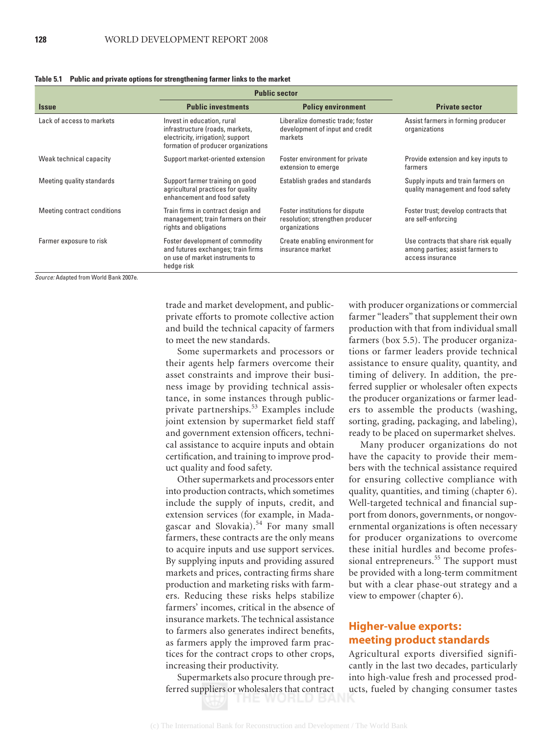|                             | <b>Public sector</b>                                                                                                                      |                                                                                     |                                                                                               |
|-----------------------------|-------------------------------------------------------------------------------------------------------------------------------------------|-------------------------------------------------------------------------------------|-----------------------------------------------------------------------------------------------|
| <b>Issue</b>                | <b>Public investments</b>                                                                                                                 | <b>Policy environment</b>                                                           | <b>Private sector</b>                                                                         |
| Lack of access to markets   | Invest in education, rural<br>infrastructure (roads, markets,<br>electricity, irrigation); support<br>formation of producer organizations | Liberalize domestic trade; foster<br>development of input and credit<br>markets     | Assist farmers in forming producer<br>organizations                                           |
| Weak technical capacity     | Support market-oriented extension                                                                                                         | Foster environment for private<br>extension to emerge                               | Provide extension and key inputs to<br>farmers                                                |
| Meeting quality standards   | Support farmer training on good<br>agricultural practices for quality<br>enhancement and food safety                                      | Establish grades and standards                                                      | Supply inputs and train farmers on<br>quality management and food safety                      |
| Meeting contract conditions | Train firms in contract design and<br>management; train farmers on their<br>rights and obligations                                        | Foster institutions for dispute<br>resolution; strengthen producer<br>organizations | Foster trust; develop contracts that<br>are self-enforcing                                    |
| Farmer exposure to risk     | Foster development of commodity<br>and futures exchanges; train firms<br>on use of market instruments to<br>hedge risk                    | Create enabling environment for<br>insurance market                                 | Use contracts that share risk equally<br>among parties; assist farmers to<br>access insurance |

**Table 5.1 Public and private options for strengthening farmer links to the market**

Source: Adapted from World Bank 2007e.

trade and market development, and publicprivate efforts to promote collective action and build the technical capacity of farmers to meet the new standards.

Some supermarkets and processors or their agents help farmers overcome their asset constraints and improve their business image by providing technical assistance, in some instances through publicprivate partnerships.<sup>53</sup> Examples include joint extension by supermarket field staff and government extension officers, technical assistance to acquire inputs and obtain certification, and training to improve product quality and food safety.

Other supermarkets and processors enter into production contracts, which sometimes include the supply of inputs, credit, and extension services (for example, in Madagascar and Slovakia).<sup>54</sup> For many small farmers, these contracts are the only means to acquire inputs and use support services. By supplying inputs and providing assured markets and prices, contracting firms share production and marketing risks with farmers. Reducing these risks helps stabilize farmers' incomes, critical in the absence of insurance markets. The technical assistance to farmers also generates indirect benefits, as farmers apply the improved farm practices for the contract crops to other crops, increasing their productivity.

Supermarkets also procure through preferred suppliers or wholesalers that contract

with producer organizations or commercial farmer "leaders" that supplement their own production with that from individual small farmers (box 5.5). The producer organizations or farmer leaders provide technical assistance to ensure quality, quantity, and timing of delivery. In addition, the preferred supplier or wholesaler often expects the producer organizations or farmer leaders to assemble the products (washing, sorting, grading, packaging, and labeling), ready to be placed on supermarket shelves.

Many producer organizations do not have the capacity to provide their members with the technical assistance required for ensuring collective compliance with quality, quantities, and timing (chapter 6). Well-targeted technical and financial support from donors, governments, or nongovernmental organizations is often necessary for producer organizations to overcome these initial hurdles and become professional entrepreneurs.<sup>55</sup> The support must be provided with a long-term commitment but with a clear phase-out strategy and a view to empower (chapter 6).

# **Higher-value exports: meeting product standards**

Agricultural exports diversified significantly in the last two decades, particularly into high-value fresh and processed products, fueled by changing consumer tastes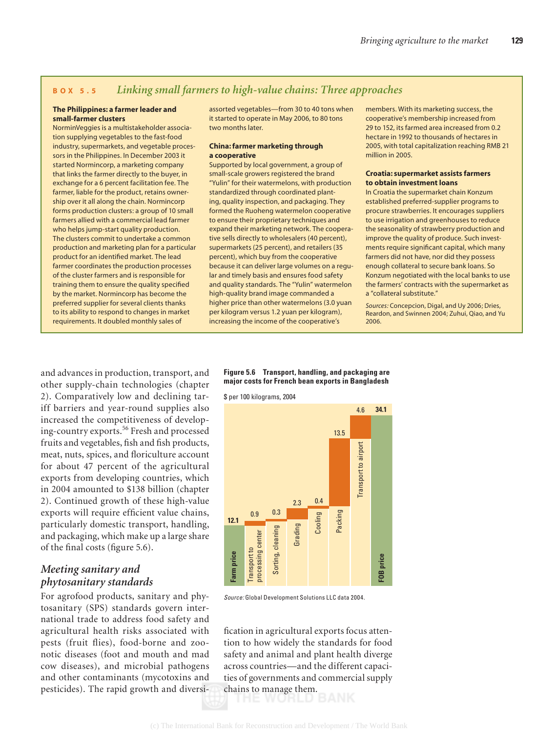# **BOX 5.5** *Linking small farmers to high-value chains: Three approaches*

#### **The Philippines: a farmer leader and small-farmer clusters**

NorminVeggies is a multistakeholder association supplying vegetables to the fast-food industry, supermarkets, and vegetable processors in the Philippines. In December 2003 it started Normincorp, a marketing company that links the farmer directly to the buyer, in exchange for a 6 percent facilitation fee. The farmer, liable for the product, retains ownership over it all along the chain. Normincorp forms production clusters: a group of 10 small farmers allied with a commercial lead farmer who helps jump-start quality production. The clusters commit to undertake a common production and marketing plan for a particular product for an identified market. The lead farmer coordinates the production processes of the cluster farmers and is responsible for training them to ensure the quality specified by the market. Normincorp has become the preferred supplier for several clients thanks to its ability to respond to changes in market requirements. It doubled monthly sales of

assorted vegetables—from 30 to 40 tons when it started to operate in May 2006, to 80 tons two months later.

#### **China: farmer marketing through a cooperative**

Supported by local government, a group of small-scale growers registered the brand "Yulin" for their watermelons, with production standardized through coordinated planting, quality inspection, and packaging. They formed the Ruoheng watermelon cooperative to ensure their proprietary techniques and expand their marketing network. The cooperative sells directly to wholesalers (40 percent), supermarkets (25 percent), and retailers (35 percent), which buy from the cooperative because it can deliver large volumes on a regular and timely basis and ensures food safety and quality standards. The "Yulin" watermelon high-quality brand image commanded a higher price than other watermelons (3.0 yuan per kilogram versus 1.2 yuan per kilogram), increasing the income of the cooperative's

members. With its marketing success, the cooperative's membership increased from 29 to 152, its farmed area increased from 0.2 hectare in 1992 to thousands of hectares in 2005, with total capitalization reaching RMB 21 million in 2005.

#### **Croatia: supermarket assists farmers to obtain investment loans**

In Croatia the supermarket chain Konzum established preferred-supplier programs to procure strawberries. It encourages suppliers to use irrigation and greenhouses to reduce the seasonality of strawberry production and improve the quality of produce. Such investments require significant capital, which many farmers did not have, nor did they possess enough collateral to secure bank loans. So Konzum negotiated with the local banks to use the farmers' contracts with the supermarket as a "collateral substitute."

*Sources:* Concepcion, Digal, and Uy 2006; Dries, Reardon, and Swinnen 2004; Zuhui, Qiao, and Yu 2006.

and advances in production, transport, and other supply-chain technologies (chapter 2). Comparatively low and declining tariff barriers and year-round supplies also increased the competitiveness of developing-country exports.56 Fresh and processed fruits and vegetables, fish and fish products, meat, nuts, spices, and floriculture account for about 47 percent of the agricultural exports from developing countries, which in 2004 amounted to \$138 billion (chapter 2). Continued growth of these high-value exports will require efficient value chains, particularly domestic transport, handling, and packaging, which make up a large share of the final costs (figure 5.6).

## *Meeting sanitary and phytosanitary standards*

For agrofood products, sanitary and phytosanitary (SPS) standards govern international trade to address food safety and agricultural health risks associated with pests (fruit flies), food-borne and zoonotic diseases (foot and mouth and mad cow diseases), and microbial pathogens and other contaminants (mycotoxins and pesticides). The rapid growth and diversi-

#### **Figure 5.6 Transport, handling, and packaging are major costs for French bean exports in Bangladesh**

\$ per 100 kilograms, 2004



Source: Global Development Solutions LLC data 2004.

fication in agricultural exports focus attention to how widely the standards for food safety and animal and plant health diverge across countries—and the different capacities of governments and commercial supply chains to manage them.

(c) The International Bank for Reconstruction and Development / The World Bank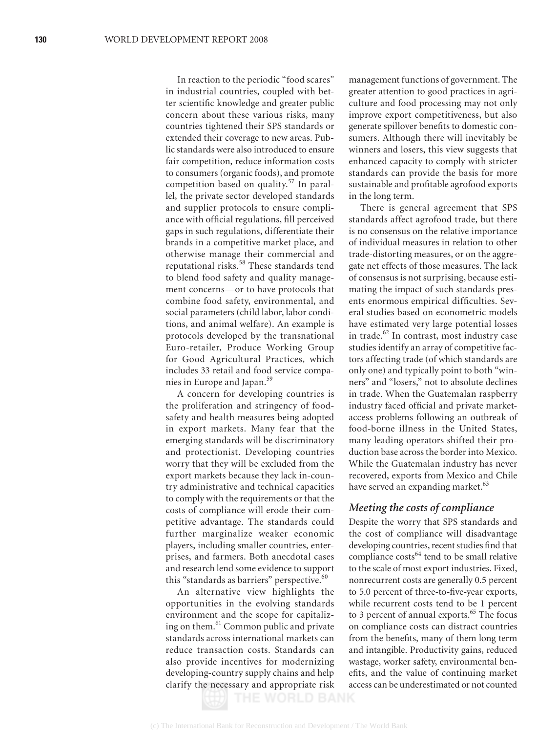In reaction to the periodic "food scares" in industrial countries, coupled with better scientific knowledge and greater public concern about these various risks, many countries tightened their SPS standards or extended their coverage to new areas. Public standards were also introduced to ensure fair competition, reduce information costs to consumers (organic foods), and promote competition based on quality. $57$  In parallel, the private sector developed standards and supplier protocols to ensure compliance with official regulations, fill perceived gaps in such regulations, differentiate their brands in a competitive market place, and otherwise manage their commercial and reputational risks.<sup>58</sup> These standards tend to blend food safety and quality management concerns—or to have protocols that combine food safety, environmental, and social parameters (child labor, labor conditions, and animal welfare). An example is protocols developed by the transnational Euro-retailer, Produce Working Group for Good Agricultural Practices, which includes 33 retail and food service companies in Europe and Japan.<sup>59</sup>

A concern for developing countries is the proliferation and stringency of foodsafety and health measures being adopted in export markets. Many fear that the emerging standards will be discriminatory and protectionist. Developing countries worry that they will be excluded from the export markets because they lack in-country administrative and technical capacities to comply with the requirements or that the costs of compliance will erode their competitive advantage. The standards could further marginalize weaker economic players, including smaller countries, enterprises, and farmers. Both anecdotal cases and research lend some evidence to support this "standards as barriers" perspective.<sup>60</sup>

An alternative view highlights the opportunities in the evolving standards environment and the scope for capitalizing on them.<sup>61</sup> Common public and private standards across international markets can reduce transaction costs. Standards can also provide incentives for modernizing developing-country supply chains and help clarify the necessary and appropriate risk

management functions of government. The greater attention to good practices in agriculture and food processing may not only improve export competitiveness, but also generate spillover benefits to domestic consumers. Although there will inevitably be winners and losers, this view suggests that enhanced capacity to comply with stricter standards can provide the basis for more sustainable and profitable agrofood exports in the long term.

There is general agreement that SPS standards affect agrofood trade, but there is no consensus on the relative importance of individual measures in relation to other trade-distorting measures, or on the aggregate net effects of those measures. The lack of consensus is not surprising, because estimating the impact of such standards presents enormous empirical difficulties. Several studies based on econometric models have estimated very large potential losses in trade.<sup>62</sup> In contrast, most industry case studies identify an array of competitive factors affecting trade (of which standards are only one) and typically point to both "winners" and "losers," not to absolute declines in trade. When the Guatemalan raspberry industry faced official and private marketaccess problems following an outbreak of food-borne illness in the United States, many leading operators shifted their production base across the border into Mexico. While the Guatemalan industry has never recovered, exports from Mexico and Chile have served an expanding market.<sup>63</sup>

## *Meeting the costs of compliance*

Despite the worry that SPS standards and the cost of compliance will disadvantage developing countries, recent studies find that compliance  $costs<sup>64</sup>$  tend to be small relative to the scale of most export industries. Fixed, nonrecurrent costs are generally 0.5 percent to 5.0 percent of three-to-five-year exports, while recurrent costs tend to be 1 percent to 3 percent of annual exports.<sup>65</sup> The focus on compliance costs can distract countries from the benefits, many of them long term and intangible. Productivity gains, reduced wastage, worker safety, environmental benefits, and the value of continuing market access can be underestimated or not counted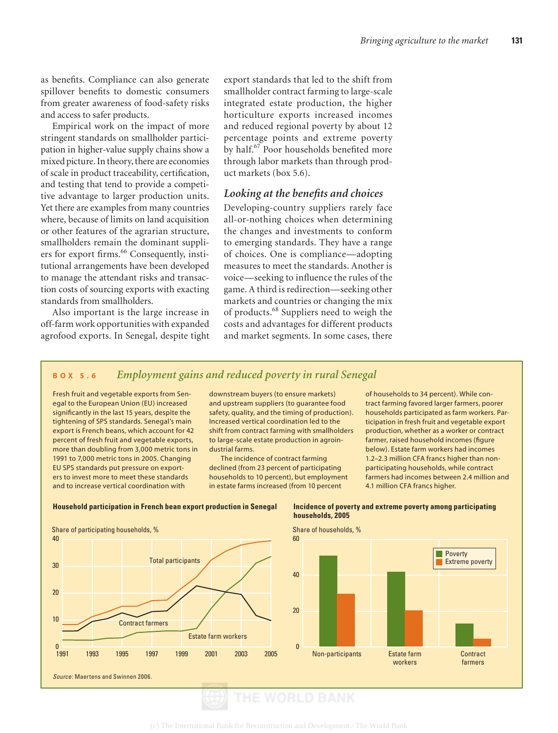as benefits. Compliance can also generate spillover benefits to domestic consumers from greater awareness of food-safety risks and access to safer products.

Empirical work on the impact of more stringent standards on smallholder participation in higher-value supply chains show a mixed picture. In theory, there are economies of scale in product traceability, certification, and testing that tend to provide a competitive advantage to larger production units. Yet there are examples from many countries where, because of limits on land acquisition or other features of the agrarian structure, smallholders remain the dominant suppliers for export firms.<sup>66</sup> Consequently, institutional arrangements have been developed to manage the attendant risks and transaction costs of sourcing exports with exacting standards from smallholders.

Also important is the large increase in off-farm work opportunities with expanded agrofood exports. In Senegal, despite tight export standards that led to the shift from smallholder contract farming to large-scale integrated estate production, the higher horticulture exports increased incomes and reduced regional poverty by about 12 percentage points and extreme poverty by half.<sup>67</sup> Poor households benefited more through labor markets than through product markets (box 5.6).

## Looking at the benefits and choices

Developing-country suppliers rarely face all-or-nothing choices when determining the changes and investments to conform to emerging standards. They have a range of choices. One is compliance—adopting measures to meet the standards. Another is voice—seeking to influence the rules of the game. A third is redirection—seeking other markets and countries or changing the mix of products.68 Suppliers need to weigh the costs and advantages for different products and market segments. In some cases, there

## **BOX 5.6** *Employment gains and reduced poverty in rural Senegal*

Fresh fruit and vegetable exports from Senegal to the European Union (EU) increased significantly in the last 15 years, despite the tightening of SPS standards. Senegal's main export is French beans, which account for 42 percent of fresh fruit and vegetable exports, more than doubling from 3,000 metric tons in 1991 to 7,000 metric tons in 2005. Changing EU SPS standards put pressure on exporters to invest more to meet these standards and to increase vertical coordination with

downstream buyers (to ensure markets) and upstream suppliers (to guarantee food safety, quality, and the timing of production). Increased vertical coordination led to the shift from contract farming with smallholders to large-scale estate production in agroindustrial farms.

The incidence of contract farming declined (from 23 percent of participating households to 10 percent), but employment in estate farms increased (from 10 percent

of households to 34 percent). While contract farming favored larger farmers, poorer households participated as farm workers. Participation in fresh fruit and vegetable export production, whether as a worker or contract farmer, raised household incomes (figure below). Estate farm workers had incomes 1.2–2.3 million CFA francs higher than nonparticipating households, while contract farmers had incomes between 2.4 million and 4.1 million CFA francs higher.



**Household participation in French bean export production in Senegal**

**Incidence of poverty and extreme poverty among participating** 



# **households, 2005**

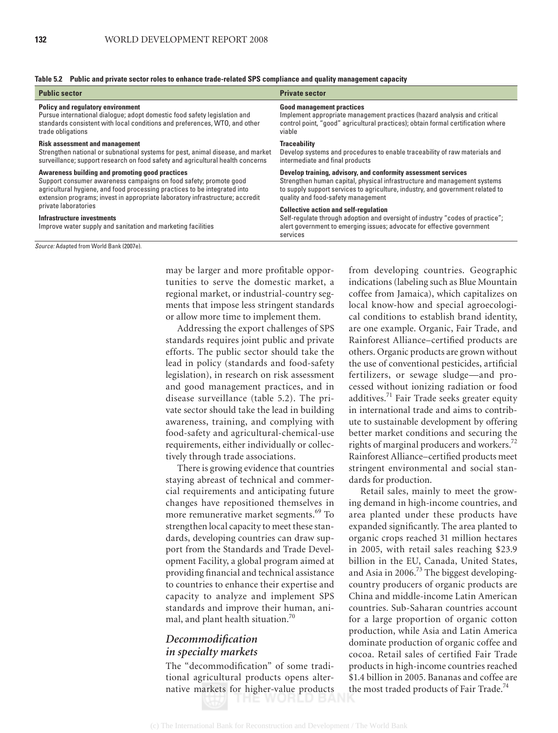|        | ۰. |
|--------|----|
| I<br>× |    |

| Table 5.2 Public and private sector roles to enhance trade-related SPS compliance and quality management capacity |  |
|-------------------------------------------------------------------------------------------------------------------|--|
|                                                                                                                   |  |

| <b>Public sector</b>                                                                                               | <b>Private sector</b>                                                                                                                                                                                                      |
|--------------------------------------------------------------------------------------------------------------------|----------------------------------------------------------------------------------------------------------------------------------------------------------------------------------------------------------------------------|
| <b>Policy and regulatory environment</b>                                                                           | <b>Good management practices</b>                                                                                                                                                                                           |
| Pursue international dialogue; adopt domestic food safety legislation and                                          | Implement appropriate management practices (hazard analysis and critical                                                                                                                                                   |
| standards consistent with local conditions and preferences, WTO, and other                                         | control point, "good" agricultural practices); obtain formal certification where                                                                                                                                           |
| trade obligations                                                                                                  | viable                                                                                                                                                                                                                     |
| Risk assessment and management                                                                                     | <b>Traceability</b>                                                                                                                                                                                                        |
| Strengthen national or subnational systems for pest, animal disease, and market                                    | Develop systems and procedures to enable traceability of raw materials and                                                                                                                                                 |
| surveillance; support research on food safety and agricultural health concerns                                     | intermediate and final products                                                                                                                                                                                            |
| Awareness building and promoting good practices                                                                    | Develop training, advisory, and conformity assessment services                                                                                                                                                             |
| Support consumer awareness campaigns on food safety; promote good                                                  | Strengthen human capital, physical infrastructure and management systems                                                                                                                                                   |
| agricultural hygiene, and food processing practices to be integrated into                                          | to supply support services to agriculture, industry, and government related to                                                                                                                                             |
| extension programs; invest in appropriate laboratory infrastructure; accredit                                      | quality and food-safety management                                                                                                                                                                                         |
| private laboratories<br>Infrastructure investments<br>Improve water supply and sanitation and marketing facilities | <b>Collective action and self-regulation</b><br>Self-requiate through adoption and oversight of industry "codes of practice";<br>alert government to emerging issues; advocate for effective government<br><b>SALVICAS</b> |

Source: Adapted from World Bank (2007e).

may be larger and more profitable opportunities to serve the domestic market, a regional market, or industrial-country segments that impose less stringent standards or allow more time to implement them.

Addressing the export challenges of SPS standards requires joint public and private efforts. The public sector should take the lead in policy (standards and food-safety legislation), in research on risk assessment and good management practices, and in disease surveillance (table 5.2). The private sector should take the lead in building awareness, training, and complying with food-safety and agricultural-chemical-use requirements, either individually or collectively through trade associations.

There is growing evidence that countries staying abreast of technical and commercial requirements and anticipating future changes have repositioned themselves in more remunerative market segments.<sup>69</sup> To strengthen local capacity to meet these standards, developing countries can draw support from the Standards and Trade Development Facility, a global program aimed at providing financial and technical assistance to countries to enhance their expertise and capacity to analyze and implement SPS standards and improve their human, animal, and plant health situation.<sup>70</sup>

# *Decommodifi cation in specialty markets*

The "decommodification" of some traditional agricultural products opens alternative markets for higher-value products

from developing countries. Geographic indications (labeling such as Blue Mountain coffee from Jamaica), which capitalizes on local know-how and special agroecological conditions to establish brand identity, are one example. Organic, Fair Trade, and Rainforest Alliance–certified products are others. Organic products are grown without the use of conventional pesticides, artificial fertilizers, or sewage sludge—and processed without ionizing radiation or food additives. $71$  Fair Trade seeks greater equity in international trade and aims to contribute to sustainable development by offering better market conditions and securing the rights of marginal producers and workers.<sup>72</sup> Rainforest Alliance–certified products meet stringent environmental and social standards for production.

Retail sales, mainly to meet the growing demand in high-income countries, and area planted under these products have expanded significantly. The area planted to organic crops reached 31 million hectares in 2005, with retail sales reaching \$23.9 billion in the EU, Canada, United States, and Asia in 2006.<sup>73</sup> The biggest developingcountry producers of organic products are China and middle-income Latin American countries. Sub-Saharan countries account for a large proportion of organic cotton production, while Asia and Latin America dominate production of organic coffee and cocoa. Retail sales of certified Fair Trade products in high-income countries reached \$1.4 billion in 2005. Bananas and coffee are the most traded products of Fair Trade.<sup>74</sup>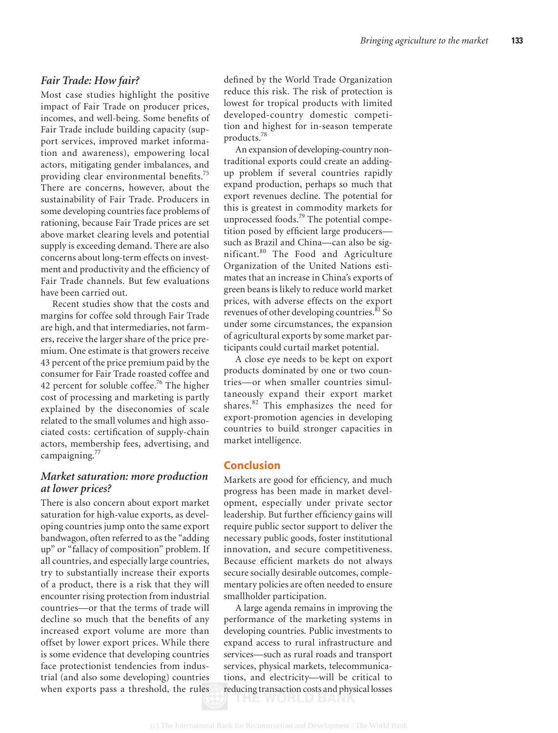## *Fair Trade: How fair?*

Most case studies highlight the positive impact of Fair Trade on producer prices, incomes, and well-being. Some benefits of Fair Trade include building capacity (support services, improved market information and awareness), empowering local actors, mitigating gender imbalances, and providing clear environmental benefits.<sup>75</sup> There are concerns, however, about the sustainability of Fair Trade. Producers in some developing countries face problems of rationing, because Fair Trade prices are set above market clearing levels and potential supply is exceeding demand. There are also concerns about long-term effects on investment and productivity and the efficiency of Fair Trade channels. But few evaluations have been carried out.

Recent studies show that the costs and margins for coffee sold through Fair Trade are high, and that intermediaries, not farmers, receive the larger share of the price premium. One estimate is that growers receive 43 percent of the price premium paid by the consumer for Fair Trade roasted coffee and 42 percent for soluble coffee.<sup>76</sup> The higher cost of processing and marketing is partly explained by the diseconomies of scale related to the small volumes and high associated costs: certification of supply-chain actors, membership fees, advertising, and campaigning.<sup>77</sup>

## *Market saturation: more production at lower prices?*

There is also concern about export market saturation for high-value exports, as developing countries jump onto the same export bandwagon, often referred to as the "adding up" or "fallacy of composition" problem. If all countries, and especially large countries, try to substantially increase their exports of a product, there is a risk that they will encounter rising protection from industrial countries—or that the terms of trade will decline so much that the benefits of any increased export volume are more than offset by lower export prices. While there is some evidence that developing countries face protectionist tendencies from industrial (and also some developing) countries when exports pass a threshold, the rules

defined by the World Trade Organization reduce this risk. The risk of protection is lowest for tropical products with limited developed-country domestic competition and highest for in-season temperate products.78

An expansion of developing-country nontraditional exports could create an addingup problem if several countries rapidly expand production, perhaps so much that export revenues decline. The potential for this is greatest in commodity markets for unprocessed foods.79 The potential competition posed by efficient large producerssuch as Brazil and China—can also be significant.<sup>80</sup> The Food and Agriculture Organization of the United Nations estimates that an increase in China's exports of green beans is likely to reduce world market prices, with adverse effects on the export revenues of other developing countries.<sup>81</sup> So under some circumstances, the expansion of agricultural exports by some market participants could curtail market potential.

A close eye needs to be kept on export products dominated by one or two countries—or when smaller countries simultaneously expand their export market shares.82 This emphasizes the need for export-promotion agencies in developing countries to build stronger capacities in market intelligence.

## **Conclusion**

Markets are good for efficiency, and much progress has been made in market development, especially under private sector leadership. But further efficiency gains will require public sector support to deliver the necessary public goods, foster institutional innovation, and secure competitiveness. Because efficient markets do not always secure socially desirable outcomes, complementary policies are often needed to ensure smallholder participation.

A large agenda remains in improving the performance of the marketing systems in developing countries. Public investments to expand access to rural infrastructure and services—such as rural roads and transport services, physical markets, telecommunications, and electricity—will be critical to reducing transaction costs and physical losses